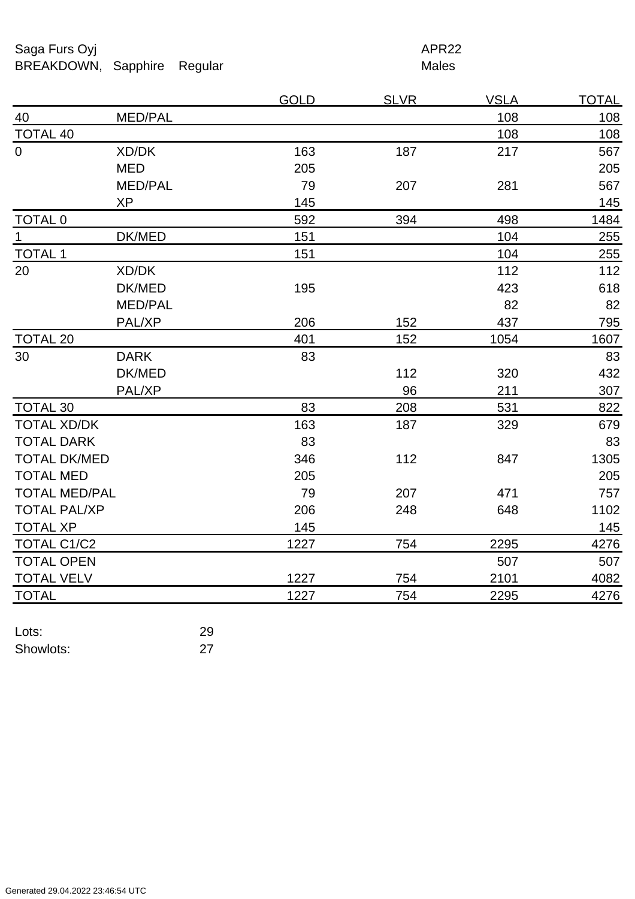Saga Furs Oyj and the Saga Furs Oyj and the Saga Furs of the Saga Furs APR22 BREAKDOWN, Sapphire Regular Males

|                      |                | <b>GOLD</b> | <b>SLVR</b> | <b>VSLA</b> | <b>TOTAL</b> |
|----------------------|----------------|-------------|-------------|-------------|--------------|
| 40                   | MED/PAL        |             |             | 108         | 108          |
| <b>TOTAL 40</b>      |                |             |             | 108         | 108          |
| $\overline{0}$       | XD/DK          | 163         | 187         | 217         | 567          |
|                      | <b>MED</b>     | 205         |             |             | 205          |
|                      | <b>MED/PAL</b> | 79          | 207         | 281         | 567          |
|                      | <b>XP</b>      | 145         |             |             | 145          |
| <b>TOTAL 0</b>       |                | 592         | 394         | 498         | 1484         |
| $\mathbf{1}$         | DK/MED         | 151         |             | 104         | 255          |
| <b>TOTAL 1</b>       |                | 151         |             | 104         | 255          |
| 20                   | XD/DK          |             |             | 112         | 112          |
|                      | DK/MED         | 195         |             | 423         | 618          |
|                      | <b>MED/PAL</b> |             |             | 82          | 82           |
|                      | PAL/XP         | 206         | 152         | 437         | 795          |
| <b>TOTAL 20</b>      |                | 401         | 152         | 1054        | 1607         |
| 30                   | <b>DARK</b>    | 83          |             |             | 83           |
|                      | DK/MED         |             | 112         | 320         | 432          |
|                      | PAL/XP         |             | 96          | 211         | 307          |
| <b>TOTAL 30</b>      |                | 83          | 208         | 531         | 822          |
| <b>TOTAL XD/DK</b>   |                | 163         | 187         | 329         | 679          |
| <b>TOTAL DARK</b>    |                | 83          |             |             | 83           |
| <b>TOTAL DK/MED</b>  |                | 346         | 112         | 847         | 1305         |
| <b>TOTAL MED</b>     |                | 205         |             |             | 205          |
| <b>TOTAL MED/PAL</b> |                | 79          | 207         | 471         | 757          |
| <b>TOTAL PAL/XP</b>  |                | 206         | 248         | 648         | 1102         |
| <b>TOTAL XP</b>      |                | 145         |             |             | 145          |
| TOTAL C1/C2          |                | 1227        | 754         | 2295        | 4276         |
| <b>TOTAL OPEN</b>    |                |             |             | 507         | 507          |
| <b>TOTAL VELV</b>    |                | 1227        | 754         | 2101        | 4082         |
| <b>TOTAL</b>         |                | 1227        | 754         | 2295        | 4276         |

| Lots:     | 29 |
|-----------|----|
| Showlots: | 27 |